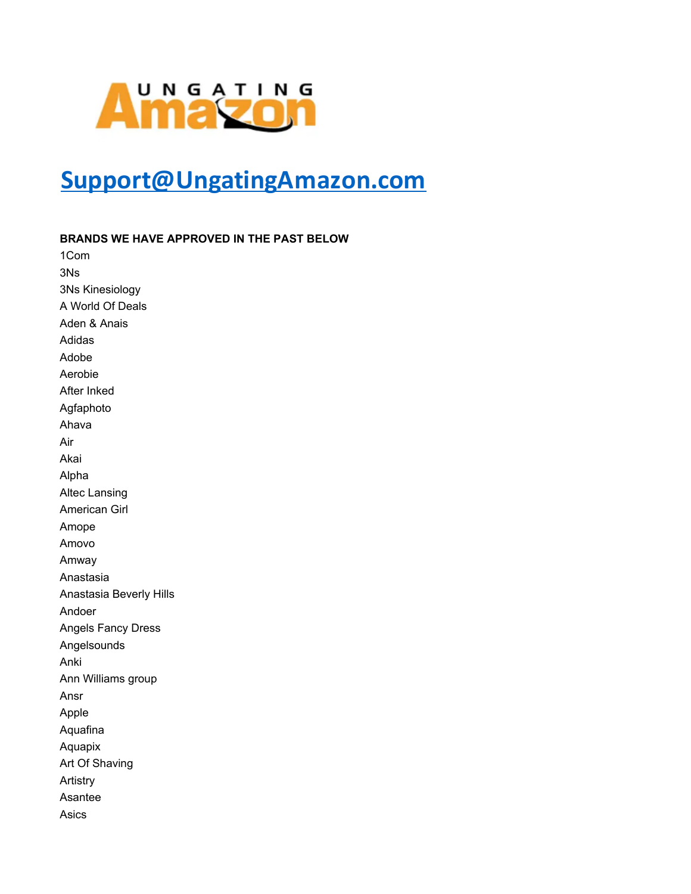## **Amazon**

## Support@UngatingAmazon.com

BRANDS WE HAVE APPROVED IN THE PAST BELOW

1Com 3Ns 3Ns Kinesiology A World Of Deals Aden & Anais Adidas Adobe Aerobie After Inked Agfaphoto Ahava Air Akai Alpha **Altec Lansing** American Girl Amope Amovo Amway Anastasia Anastasia Beverly Hills Andoer **Angels Fancy Dress** Angelsounds Anki Ann Williams group Ansr Apple Aquafina Aquapix Art Of Shaving Artistry Asantee Asics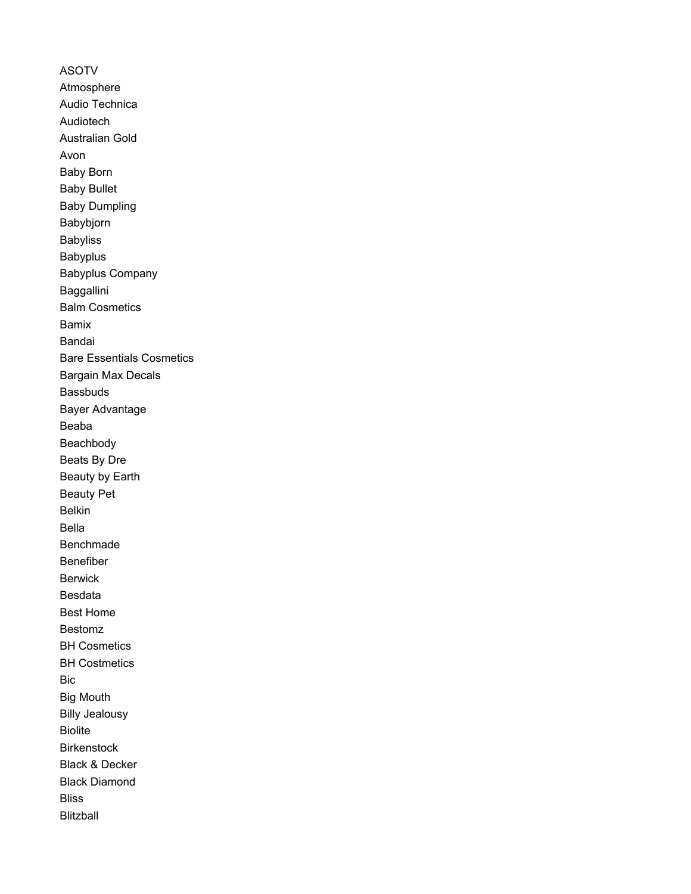ASOTV Atmosphere Audio Technica Audiotech Australian Gold Avon Baby Born Baby Bullet Baby Dumpling Babybjorn **Babyliss** Babyplus Babyplus Company Baggallini Balm Cosmetics Bamix Bandai Bare Essentials Cosmetics Bargain Max Decals Bassbuds Bayer Advantage Beaba Beachbody Beats By Dre Beauty by Earth Beauty Pet Belkin Bella Benchmade Benefiber Berwick Besdata Best Home Bestomz BH Cosmetics BH Costmetics Bic Big Mouth Billy Jealousy **Biolite Birkenstock** Black & Decker Black Diamond **Bliss** Blitzball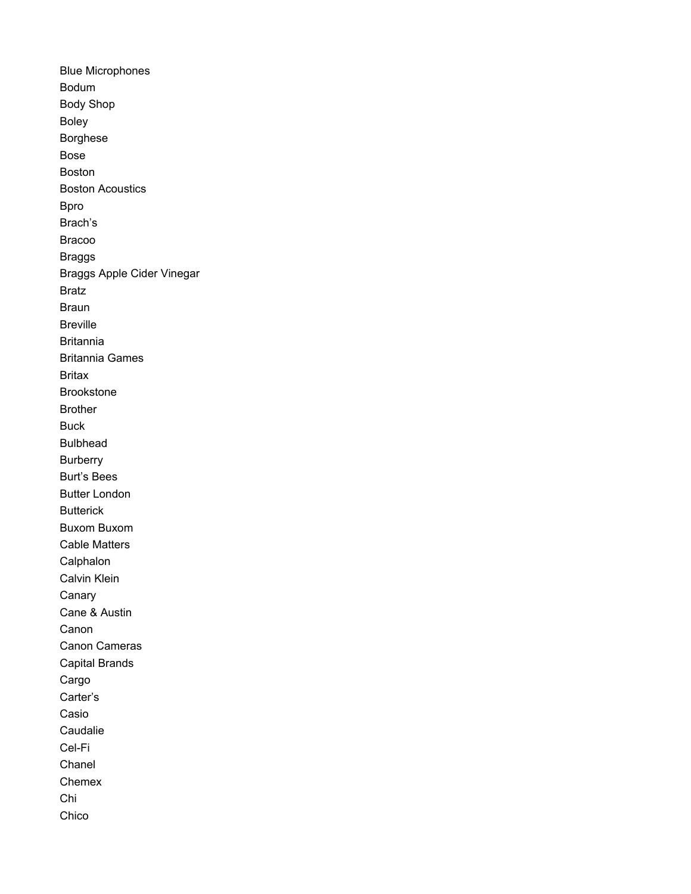Blue Microphones Bodum Body Shop Boley Borghese Bose Boston Boston Acoustics Bpro Brach's Bracoo Braggs Braggs Apple Cider Vinegar Bratz **Braun** Breville **Britannia** Britannia Games **Britax** Brookstone Brother Buck Bulbhead **Burberry** Burt's Bees Butter London **Butterick** Buxom Buxom Cable Matters **Calphalon** Calvin Klein Canary Cane & Austin Canon Canon Cameras Capital Brands Cargo Carter's Casio Caudalie Cel-Fi Chanel **Chemex** Chi Chico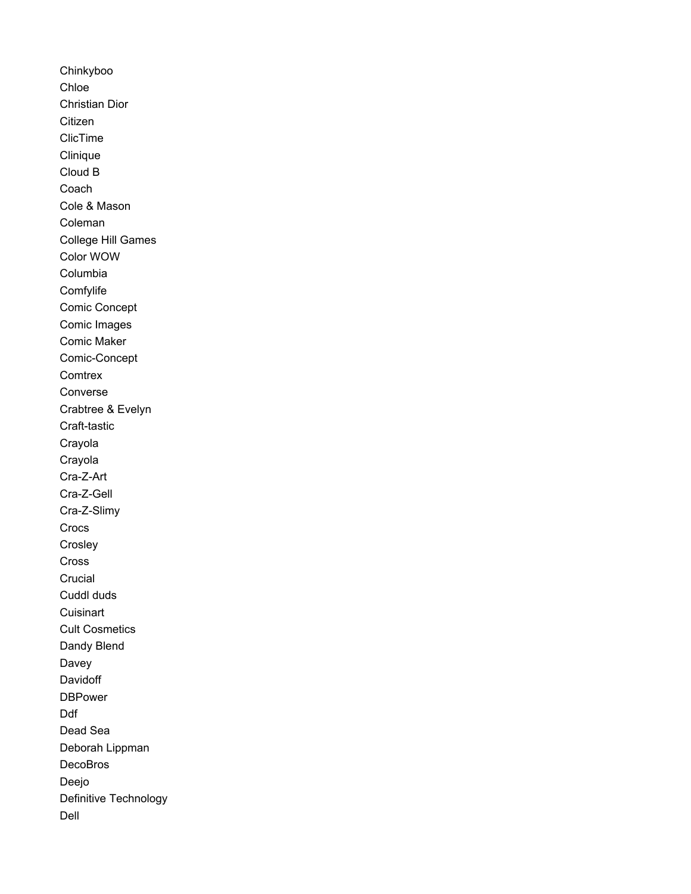Chinkyboo Chloe Christian Dior Citizen ClicTime Clinique Cloud B **Coach** Cole & Mason Coleman College Hill Games Color WOW Columbia **Comfylife** Comic Concept Comic Images Comic Maker Comic-Concept **Comtrex** Converse Crabtree & Evelyn Craft-tastic Crayola Crayola Cra-Z-Art Cra-Z-Gell Cra-Z-Slimy Crocs **Crosley** Cross Crucial Cuddl duds **Cuisinart** Cult Cosmetics Dandy Blend Davey **Davidoff DBPower** Ddf Dead Sea Deborah Lippman **DecoBros** Deejo Definitive Technology Dell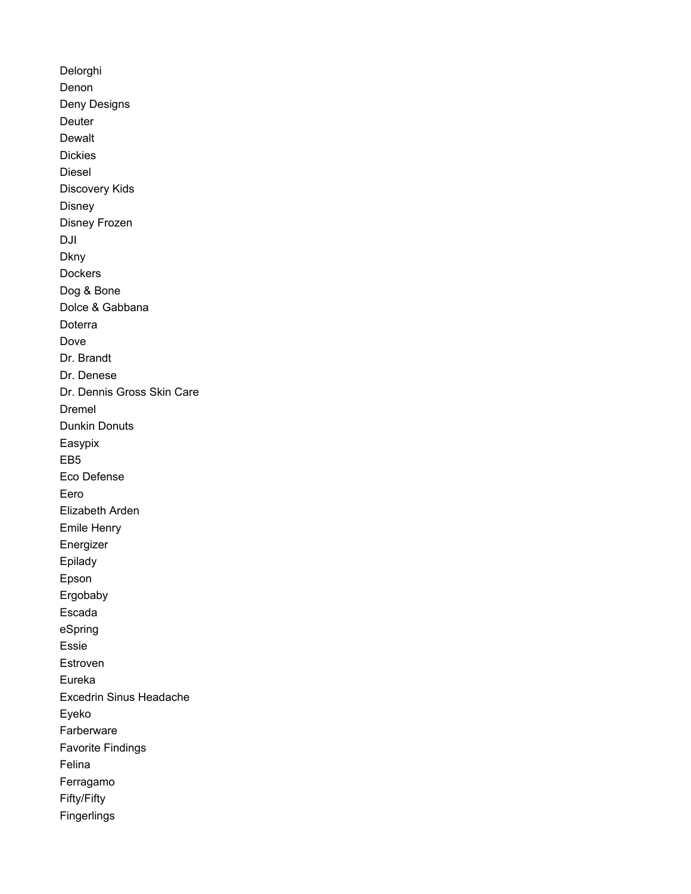Delorghi Denon Deny Designs **Deuter** Dewalt Dickies Diesel Discovery Kids Disney Disney Frozen DJI **Dkny** Dockers Dog & Bone Dolce & Gabbana Doterra Dove Dr. Brandt Dr. Denese Dr. Dennis Gross Skin Care Dremel Dunkin Donuts Easypix EB5 Eco Defense Eero Elizabeth Arden Emile Henry Energizer Epilady Epson Ergobaby Escada eSpring Essie Estroven Eureka Excedrin Sinus Headache Eyeko Farberware Favorite Findings Felina Ferragamo Fifty/Fifty Fingerlings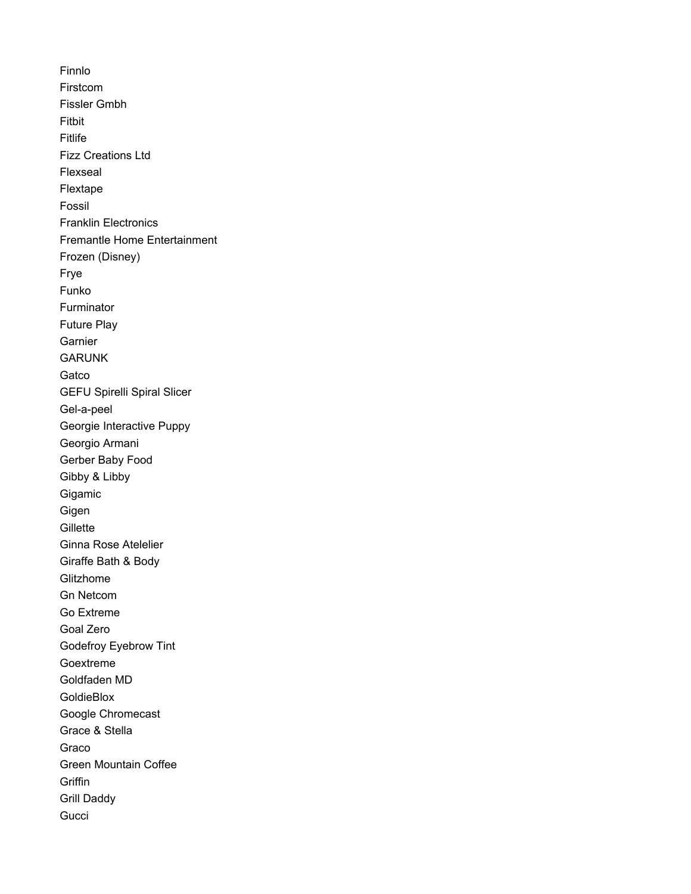Finnlo Firstcom Fissler Gmbh Fitbit Fitlife Fizz Creations Ltd Flexseal Flextape Fossil Franklin Electronics Fremantle Home Entertainment Frozen (Disney) Frye Funko **Furminator** Future Play **Garnier GARUNK Gatco** GEFU Spirelli Spiral Slicer Gel-a-peel Georgie Interactive Puppy Georgio Armani Gerber Baby Food Gibby & Libby Gigamic **Gigen Gillette** Ginna Rose Atelelier Giraffe Bath & Body **Glitzhome** Gn Netcom Go Extreme Goal Zero Godefroy Eyebrow Tint Goextreme Goldfaden MD **GoldieBlox** Google Chromecast Grace & Stella Graco Green Mountain Coffee **Griffin** Grill Daddy **Gucci**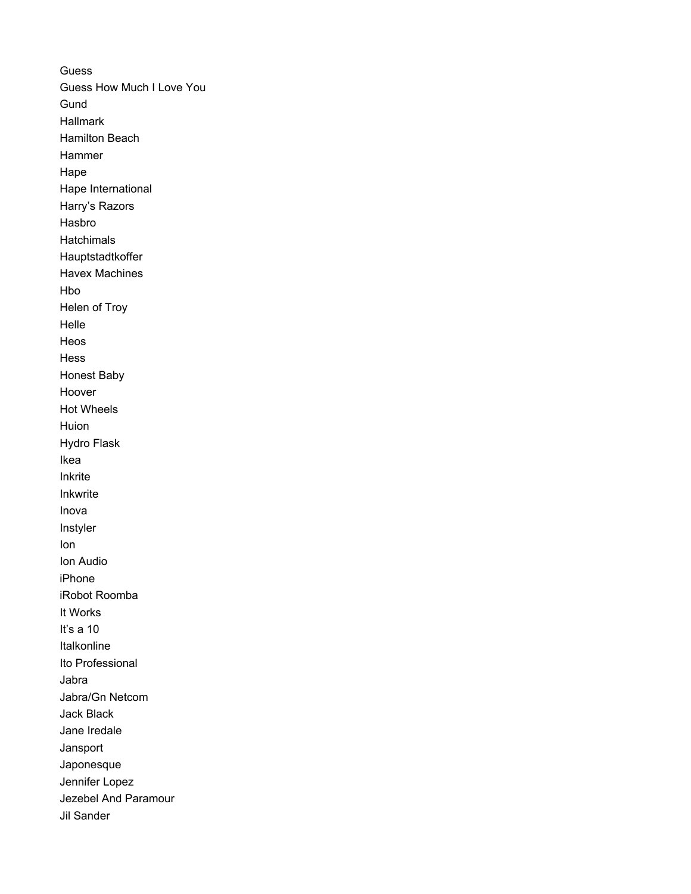**Guess** Guess How Much I Love You **Gund** Hallmark Hamilton Beach Hammer Hape Hape International Harry's Razors Hasbro **Hatchimals** Hauptstadtkoffer Havex Machines Hbo Helen of Troy Helle Heos Hess Honest Baby Hoover Hot Wheels Huion Hydro Flask Ikea Inkrite Inkwrite Inova Instyler Ion Ion Audio iPhone iRobot Roomba It Works It's a 10 Italkonline Ito Professional Jabra Jabra/Gn Netcom Jack Black Jane Iredale Jansport Japonesque Jennifer Lopez Jezebel And Paramour Jil Sander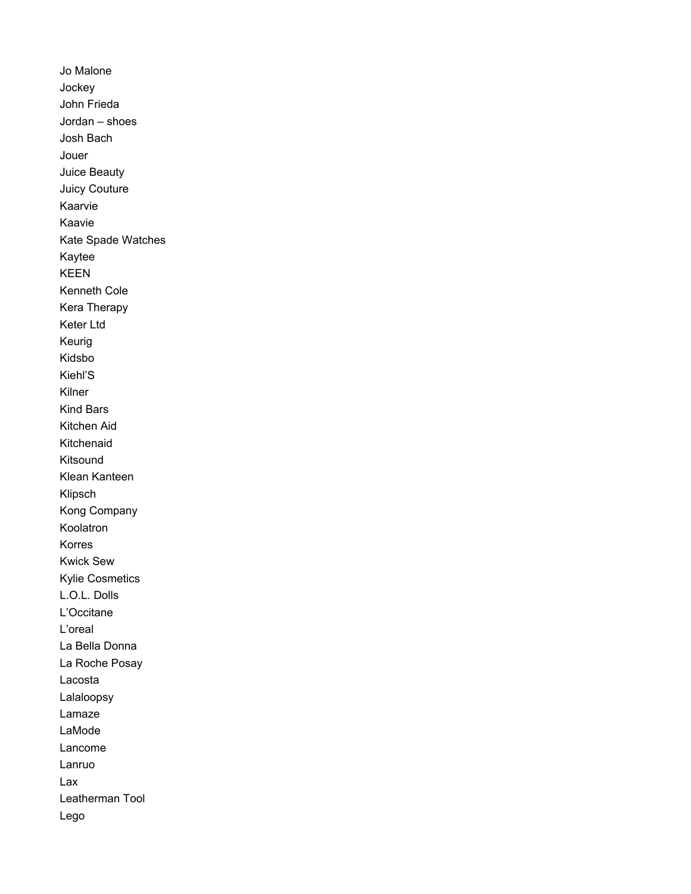Jo Malone Jockey John Frieda Jordan – shoes Josh Bach Jouer Juice Beauty Juicy Couture Kaarvie Kaavie Kate Spade Watches Kaytee KEEN Kenneth Cole Kera Therapy Keter Ltd Keurig Kidsbo Kiehl'S Kilner Kind Bars Kitchen Aid Kitchenaid Kitsound Klean Kanteen Klipsch Kong Company Koolatron Korres Kwick Sew Kylie Cosmetics L.O.L. Dolls L'Occitane L'oreal La Bella Donna La Roche Posay Lacosta Lalaloopsy Lamaze LaMode Lancome Lanruo Lax Leatherman Tool Lego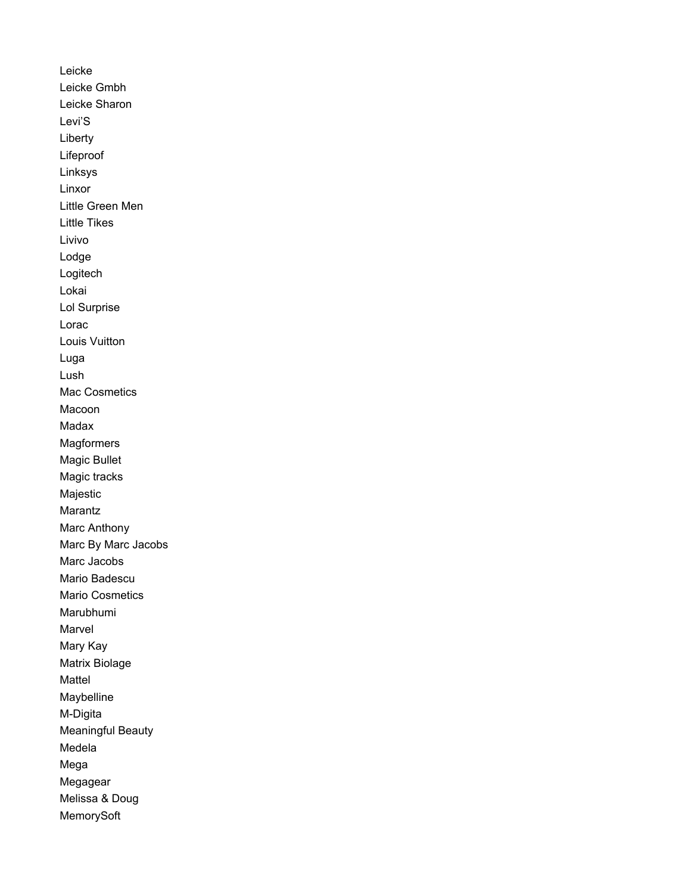Leicke Leicke Gmbh Leicke Sharon Levi'S Liberty Lifeproof Linksys Linxor Little Green Men Little Tikes Livivo Lodge Logitech Lokai Lol Surprise Lorac Louis Vuitton Luga Lush Mac Cosmetics Macoon Madax **Magformers** Magic Bullet Magic tracks Majestic Marantz Marc Anthony Marc By Marc Jacobs Marc Jacobs Mario Badescu Mario Cosmetics Marubhumi Marvel Mary Kay Matrix Biolage Mattel Maybelline M-Digita Meaningful Beauty Medela Mega Megagear Melissa & Doug MemorySoft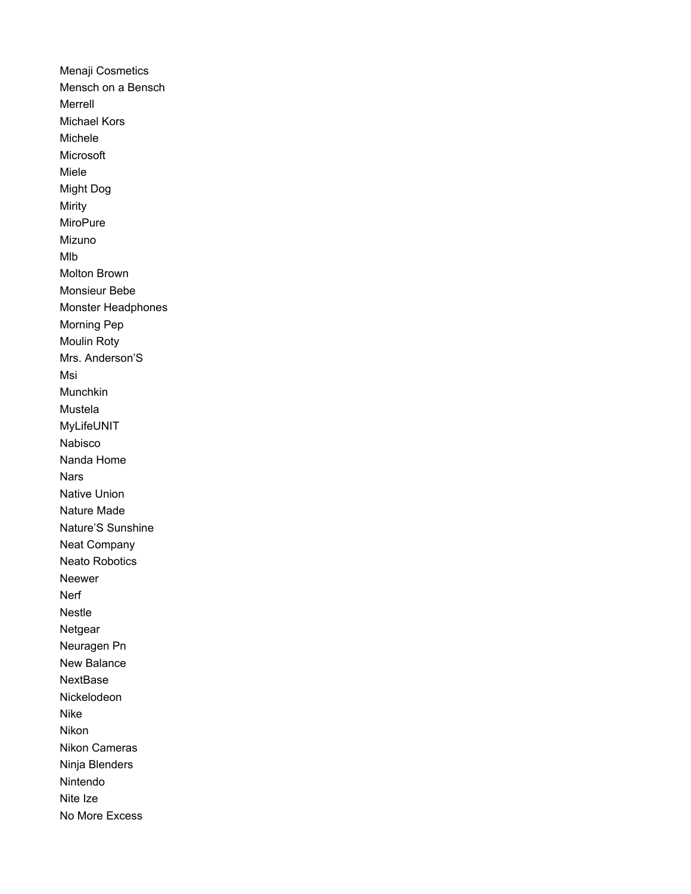Menaji Cosmetics Mensch on a Bensch Merrell Michael Kors Michele Microsoft Miele **Might Dog** Mirity MiroPure Mizuno Mlb Molton Brown Monsieur Bebe Monster Headphones Morning Pep Moulin Roty Mrs. Anderson'S Msi Munchkin Mustela MyLifeUNIT Nabisco Nanda Home **Nars Native Union** Nature Made Nature'S Sunshine **Neat Company Neato Robotics** Neewer Nerf Nestle Netgear Neuragen Pn New Balance **NextBase** Nickelodeon Nike **Nikon** Nikon Cameras Ninja Blenders Nintendo Nite Ize No More Excess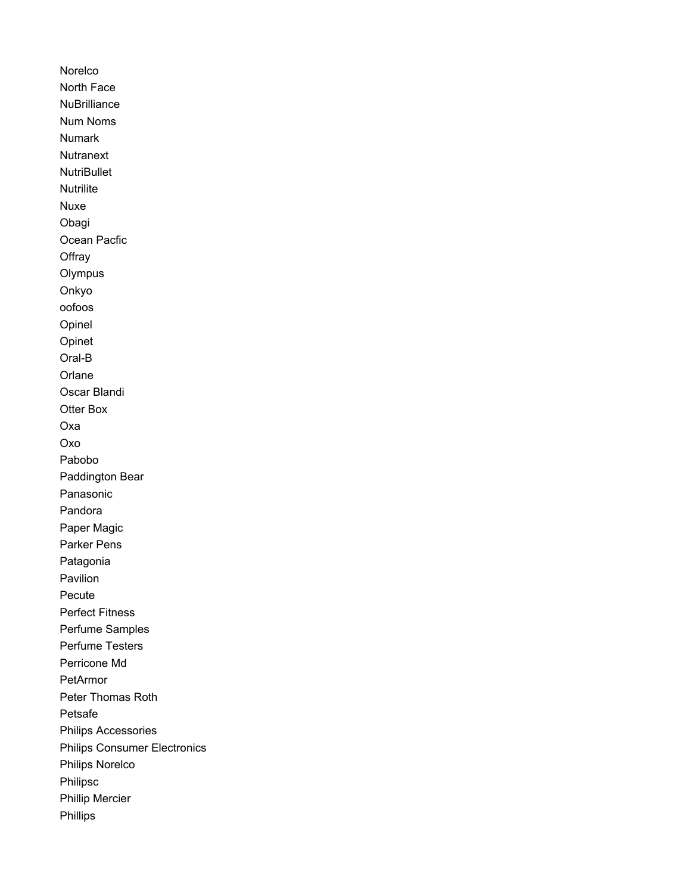Norelco North Face **NuBrilliance** Num Noms Numark **Nutranext NutriBullet Nutrilite** Nuxe Obagi Ocean Pacfic **Offray Olympus** Onkyo oofoos Opinel Opinet Oral-B **Orlane** Oscar Blandi Otter Box Oxa Oxo Pabobo Paddington Bear Panasonic Pandora Paper Magic Parker Pens Patagonia Pavilion Pecute Perfect Fitness Perfume Samples Perfume Testers Perricone Md PetArmor Peter Thomas Roth Petsafe Philips Accessories Philips Consumer Electronics Philips Norelco Philipsc Phillip Mercier Phillips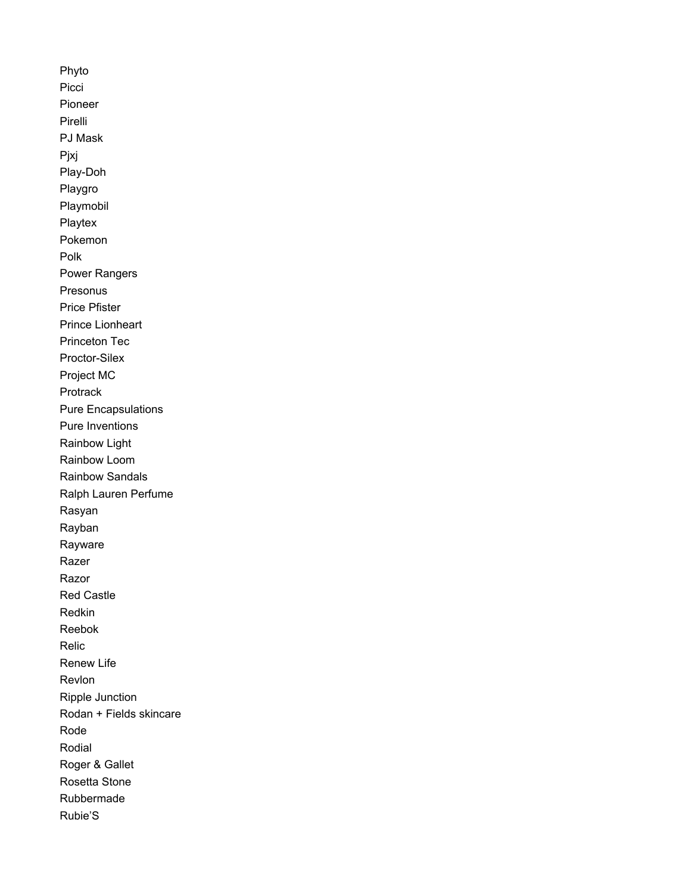Phyto Picci Pioneer Pirelli PJ Mask Pjxj Play-Doh Playgro Playmobil Playtex Pokemon Polk Power Rangers Presonus Price Pfister Prince Lionheart Princeton Tec Proctor-Silex Project MC Protrack Pure Encapsulations Pure Inventions Rainbow Light Rainbow Loom Rainbow Sandals Ralph Lauren Perfume Rasyan Rayban Rayware Razer Razor Red Castle Redkin Reebok Relic Renew Life Revlon Ripple Junction Rodan + Fields skincare Rode Rodial Roger & Gallet Rosetta Stone Rubbermade Rubie'S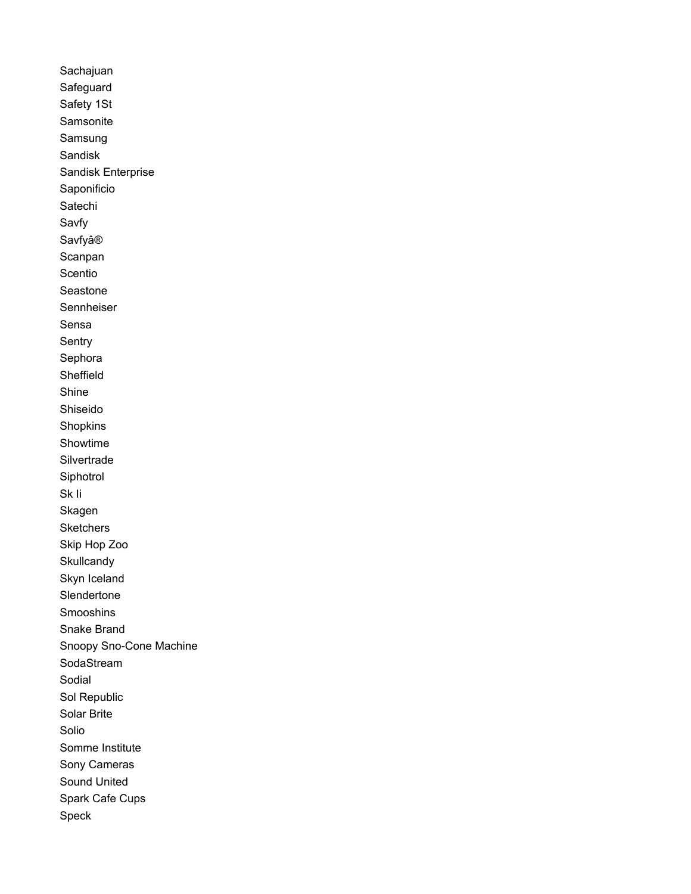Sachajuan Safeguard Safety 1St Samsonite Samsung Sandisk Sandisk Enterprise Saponificio Satechi Savfy Savfyâ® Scanpan Scentio Seastone Sennheiser Sensa Sentry Sephora Sheffield Shine Shiseido Shopkins Showtime Silvertrade Siphotrol Sk li Skagen Sketchers Skip Hop Zoo Skullcandy Skyn Iceland Slendertone Smooshins Snake Brand Snoopy Sno-Cone Machine SodaStream Sodial Sol Republic Solar Brite Solio Somme Institute Sony Cameras Sound United Spark Cafe Cups Speck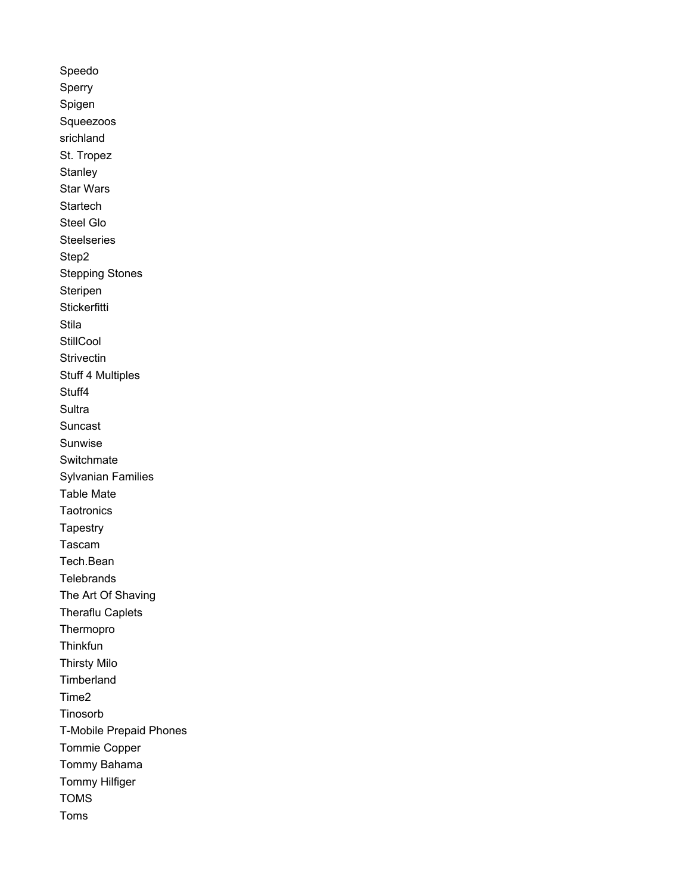Speedo Sperry Spigen Squeezoos srichland St. Tropez Stanley **Star Wars** Startech Steel Glo **Steelseries** Step2 **Stepping Stones** Steripen **Stickerfitti** Stila StillCool Strivectin **Stuff 4 Multiples** Stuff4 Sultra Suncast Sunwise Switchmate **Sylvanian Families Table Mate** Taotronics Tapestry Tascam Tech.Bean Telebrands The Art Of Shaving **Theraflu Caplets** Thermopro Thinkfun **Thirsty Milo** Timberland Time<sub>2</sub> Tinosorb **T-Mobile Prepaid Phones** Tommie Copper Tommy Bahama **Tommy Hilfiger TOMS** Toms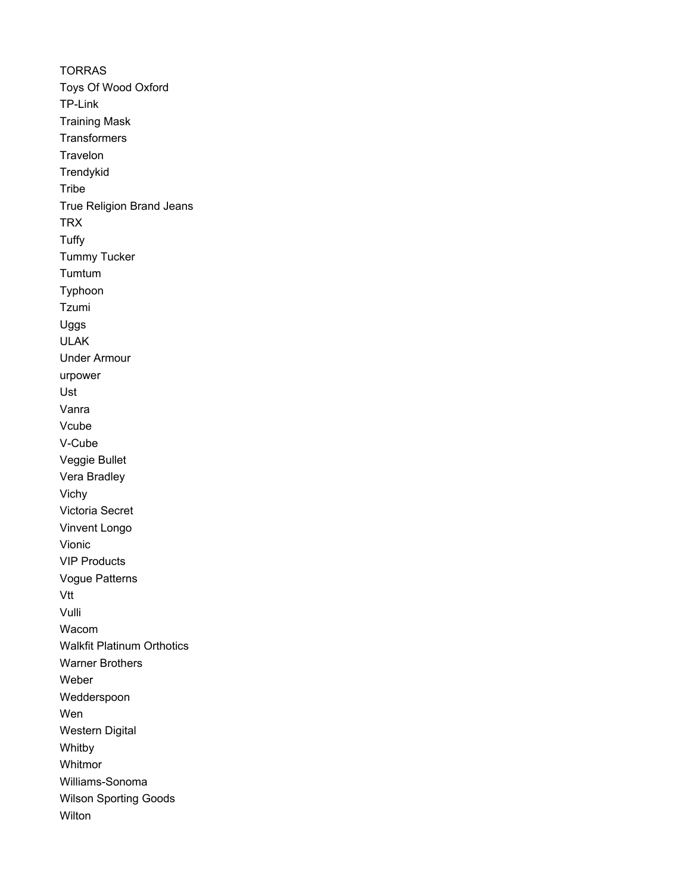**TORRAS** Toys Of Wood Oxford TP-Link Training Mask **Transformers Travelon Trendykid Tribe** True Religion Brand Jeans **TRX Tuffy** Tummy Tucker Tumtum Typhoon Tzumi Uggs ULAK Under Armour urpower Ust Vanra Vcube V-Cube Veggie Bullet Vera Bradley Vichy Victoria Secret Vinvent Longo Vionic VIP Products Vogue Patterns Vtt Vulli Wacom Walkfit Platinum Orthotics Warner Brothers Weber Wedderspoon Wen Western Digital Whitby Whitmor Williams-Sonoma Wilson Sporting Goods **Wilton**